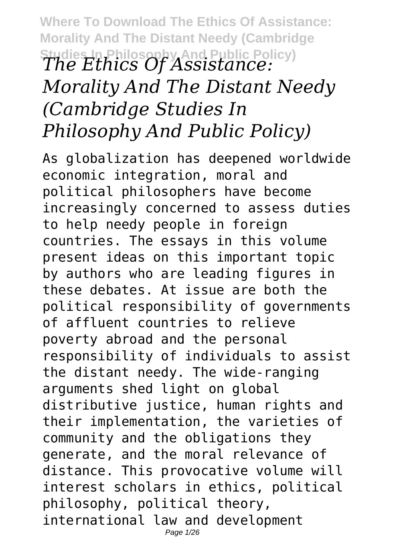**Where To Download The Ethics Of Assistance: Morality And The Distant Needy (Cambridge Studies In Philosophy And Public Policy)** *The Ethics Of Assistance: Morality And The Distant Needy (Cambridge Studies In Philosophy And Public Policy)*

As globalization has deepened worldwide economic integration, moral and political philosophers have become increasingly concerned to assess duties to help needy people in foreign countries. The essays in this volume present ideas on this important topic by authors who are leading figures in these debates. At issue are both the political responsibility of governments of affluent countries to relieve poverty abroad and the personal responsibility of individuals to assist the distant needy. The wide-ranging arguments shed light on global distributive justice, human rights and their implementation, the varieties of community and the obligations they generate, and the moral relevance of distance. This provocative volume will interest scholars in ethics, political philosophy, political theory, international law and development Page 1/26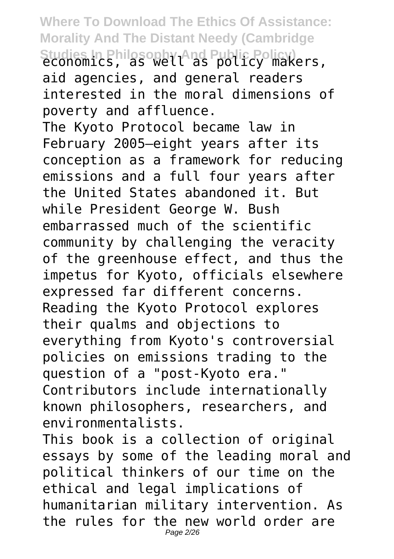Studies In Philosophy And Public Policy)<br>economics, as well as policy makers, aid agencies, and general readers interested in the moral dimensions of poverty and affluence.

The Kyoto Protocol became law in February 2005—eight years after its conception as a framework for reducing emissions and a full four years after the United States abandoned it. But while President George W. Bush embarrassed much of the scientific community by challenging the veracity of the greenhouse effect, and thus the impetus for Kyoto, officials elsewhere expressed far different concerns. Reading the Kyoto Protocol explores their qualms and objections to everything from Kyoto's controversial policies on emissions trading to the question of a "post-Kyoto era." Contributors include internationally known philosophers, researchers, and environmentalists.

This book is a collection of original essays by some of the leading moral and political thinkers of our time on the ethical and legal implications of humanitarian military intervention. As the rules for the new world order are Page 2/26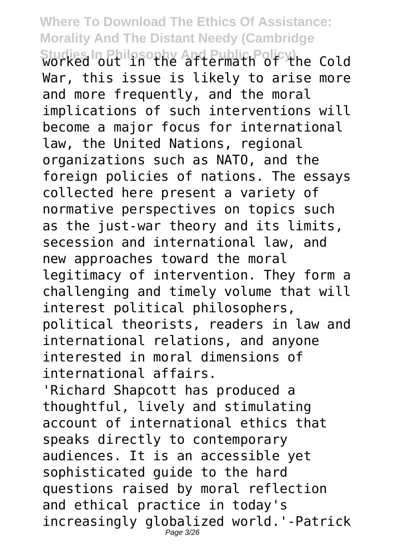Studies In Philosophy And Public Policy) he Cold War, this issue is likely to arise more and more frequently, and the moral implications of such interventions will become a major focus for international law, the United Nations, regional organizations such as NATO, and the foreign policies of nations. The essays collected here present a variety of normative perspectives on topics such as the just-war theory and its limits, secession and international law, and new approaches toward the moral legitimacy of intervention. They form a challenging and timely volume that will interest political philosophers, political theorists, readers in law and international relations, and anyone interested in moral dimensions of international affairs.

'Richard Shapcott has produced a thoughtful, lively and stimulating account of international ethics that speaks directly to contemporary audiences. It is an accessible yet sophisticated guide to the hard questions raised by moral reflection and ethical practice in today's increasingly globalized world.'-Patrick Page 3/26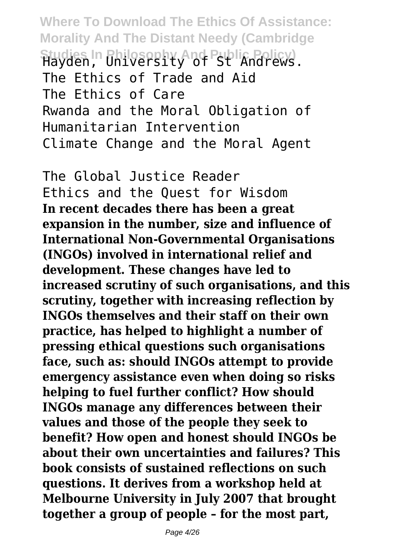**Where To Download The Ethics Of Assistance: Morality And The Distant Needy (Cambridge** Studies In Philosophy And Public Policy).<br>Hayden, University of St Andrews. The Ethics of Trade and Aid The Ethics of Care Rwanda and the Moral Obligation of Humanitarian Intervention Climate Change and the Moral Agent

The Global Justice Reader Ethics and the Quest for Wisdom **In recent decades there has been a great expansion in the number, size and influence of International Non-Governmental Organisations (INGOs) involved in international relief and development. These changes have led to increased scrutiny of such organisations, and this scrutiny, together with increasing reflection by INGOs themselves and their staff on their own practice, has helped to highlight a number of pressing ethical questions such organisations face, such as: should INGOs attempt to provide emergency assistance even when doing so risks helping to fuel further conflict? How should INGOs manage any differences between their values and those of the people they seek to benefit? How open and honest should INGOs be about their own uncertainties and failures? This book consists of sustained reflections on such questions. It derives from a workshop held at Melbourne University in July 2007 that brought together a group of people – for the most part,**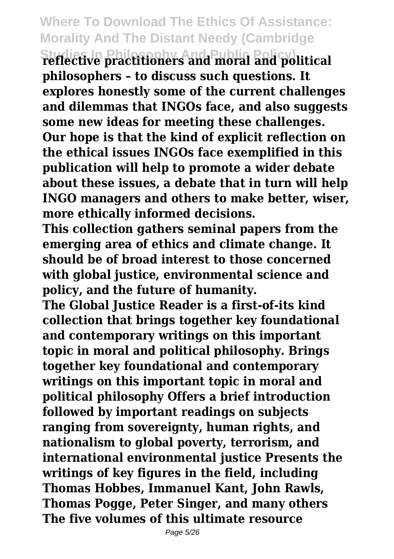**Studies In Philosophy And Public Policy) reflective practitioners and moral and political philosophers – to discuss such questions. It explores honestly some of the current challenges and dilemmas that INGOs face, and also suggests some new ideas for meeting these challenges. Our hope is that the kind of explicit reflection on the ethical issues INGOs face exemplified in this publication will help to promote a wider debate about these issues, a debate that in turn will help INGO managers and others to make better, wiser, more ethically informed decisions.**

**This collection gathers seminal papers from the emerging area of ethics and climate change. It should be of broad interest to those concerned with global justice, environmental science and policy, and the future of humanity.**

**The Global Justice Reader is a first-of-its kind collection that brings together key foundational and contemporary writings on this important topic in moral and political philosophy. Brings together key foundational and contemporary writings on this important topic in moral and political philosophy Offers a brief introduction followed by important readings on subjects ranging from sovereignty, human rights, and nationalism to global poverty, terrorism, and international environmental justice Presents the writings of key figures in the field, including Thomas Hobbes, Immanuel Kant, John Rawls, Thomas Pogge, Peter Singer, and many others The five volumes of this ultimate resource**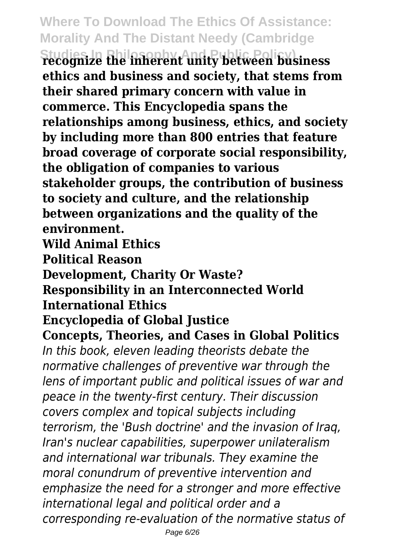**Studies In Philosophy And Public Policy) recognize the inherent unity between business ethics and business and society, that stems from their shared primary concern with value in commerce. This Encyclopedia spans the relationships among business, ethics, and society by including more than 800 entries that feature broad coverage of corporate social responsibility, the obligation of companies to various stakeholder groups, the contribution of business to society and culture, and the relationship between organizations and the quality of the environment.**

**Wild Animal Ethics**

**Political Reason**

**Development, Charity Or Waste?**

#### **Responsibility in an Interconnected World International Ethics**

#### **Encyclopedia of Global Justice**

**Concepts, Theories, and Cases in Global Politics** *In this book, eleven leading theorists debate the normative challenges of preventive war through the lens of important public and political issues of war and peace in the twenty-first century. Their discussion covers complex and topical subjects including terrorism, the 'Bush doctrine' and the invasion of Iraq, Iran's nuclear capabilities, superpower unilateralism and international war tribunals. They examine the moral conundrum of preventive intervention and emphasize the need for a stronger and more effective international legal and political order and a corresponding re-evaluation of the normative status of*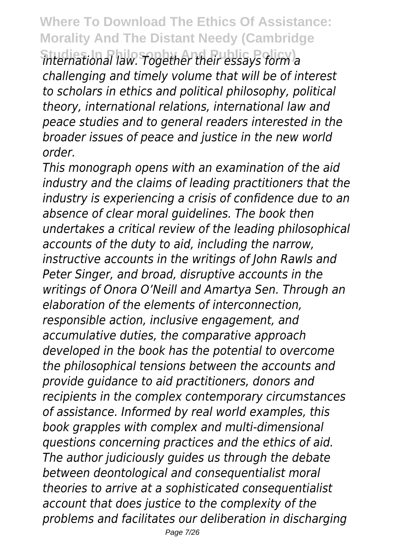$\widehat{h}$  international law. Together their essays form a *challenging and timely volume that will be of interest to scholars in ethics and political philosophy, political theory, international relations, international law and peace studies and to general readers interested in the broader issues of peace and justice in the new world order.*

*This monograph opens with an examination of the aid industry and the claims of leading practitioners that the industry is experiencing a crisis of confidence due to an absence of clear moral guidelines. The book then undertakes a critical review of the leading philosophical accounts of the duty to aid, including the narrow, instructive accounts in the writings of John Rawls and Peter Singer, and broad, disruptive accounts in the writings of Onora O'Neill and Amartya Sen. Through an elaboration of the elements of interconnection, responsible action, inclusive engagement, and accumulative duties, the comparative approach developed in the book has the potential to overcome the philosophical tensions between the accounts and provide guidance to aid practitioners, donors and recipients in the complex contemporary circumstances of assistance. Informed by real world examples, this book grapples with complex and multi-dimensional questions concerning practices and the ethics of aid. The author judiciously guides us through the debate between deontological and consequentialist moral theories to arrive at a sophisticated consequentialist account that does justice to the complexity of the problems and facilitates our deliberation in discharging*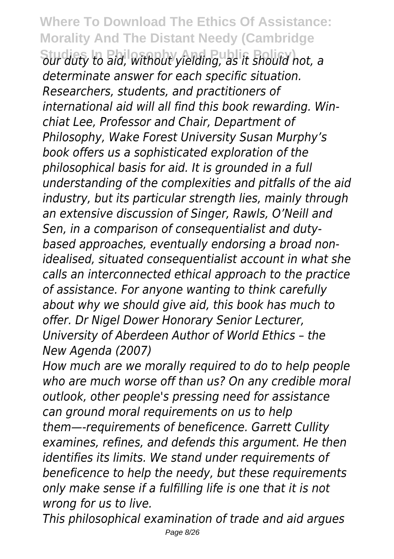**Studies In Philosophy And Public Policy)** *our duty to aid, without yielding, as it should not, a determinate answer for each specific situation. Researchers, students, and practitioners of international aid will all find this book rewarding. Winchiat Lee, Professor and Chair, Department of Philosophy, Wake Forest University Susan Murphy's book offers us a sophisticated exploration of the philosophical basis for aid. It is grounded in a full understanding of the complexities and pitfalls of the aid industry, but its particular strength lies, mainly through an extensive discussion of Singer, Rawls, O'Neill and Sen, in a comparison of consequentialist and dutybased approaches, eventually endorsing a broad nonidealised, situated consequentialist account in what she calls an interconnected ethical approach to the practice of assistance. For anyone wanting to think carefully about why we should give aid, this book has much to offer. Dr Nigel Dower Honorary Senior Lecturer, University of Aberdeen Author of World Ethics – the New Agenda (2007)*

*How much are we morally required to do to help people who are much worse off than us? On any credible moral outlook, other people's pressing need for assistance can ground moral requirements on us to help them—-requirements of beneficence. Garrett Cullity examines, refines, and defends this argument. He then identifies its limits. We stand under requirements of beneficence to help the needy, but these requirements only make sense if a fulfilling life is one that it is not wrong for us to live.*

*This philosophical examination of trade and aid argues* Page 8/26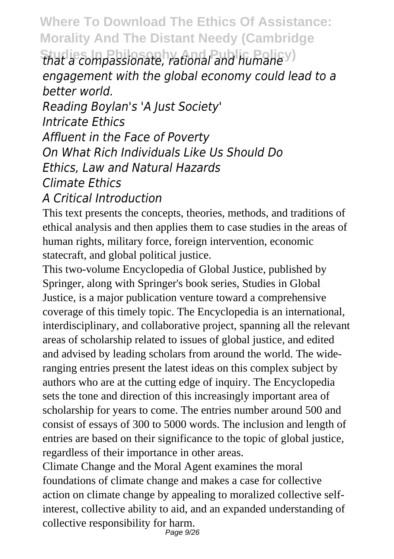#### **Studies In Philosophy And Public Policy)** *that a compassionate, rational and humane engagement with the global economy could lead to a better world. Reading Boylan's 'A Just Society' Intricate Ethics Affluent in the Face of Poverty On What Rich Individuals Like Us Should Do*

*Ethics, Law and Natural Hazards*

*Climate Ethics*

#### *A Critical Introduction*

This text presents the concepts, theories, methods, and traditions of ethical analysis and then applies them to case studies in the areas of human rights, military force, foreign intervention, economic statecraft, and global political justice.

This two-volume Encyclopedia of Global Justice, published by Springer, along with Springer's book series, Studies in Global Justice, is a major publication venture toward a comprehensive coverage of this timely topic. The Encyclopedia is an international, interdisciplinary, and collaborative project, spanning all the relevant areas of scholarship related to issues of global justice, and edited and advised by leading scholars from around the world. The wideranging entries present the latest ideas on this complex subject by authors who are at the cutting edge of inquiry. The Encyclopedia sets the tone and direction of this increasingly important area of scholarship for years to come. The entries number around 500 and consist of essays of 300 to 5000 words. The inclusion and length of entries are based on their significance to the topic of global justice, regardless of their importance in other areas.

Climate Change and the Moral Agent examines the moral foundations of climate change and makes a case for collective action on climate change by appealing to moralized collective selfinterest, collective ability to aid, and an expanded understanding of collective responsibility for harm. Page 9/26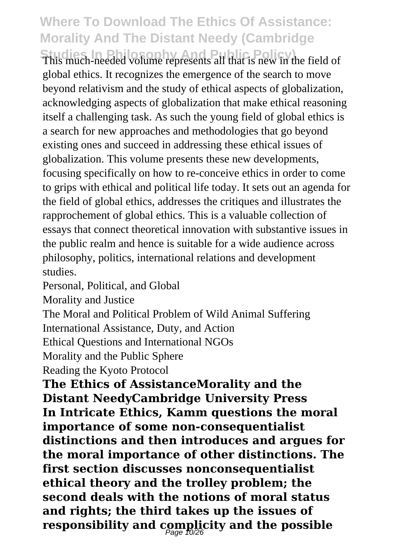This much-needed volume represents all that is new in the field of global ethics. It recognizes the emergence of the search to move beyond relativism and the study of ethical aspects of globalization, acknowledging aspects of globalization that make ethical reasoning itself a challenging task. As such the young field of global ethics is a search for new approaches and methodologies that go beyond existing ones and succeed in addressing these ethical issues of globalization. This volume presents these new developments, focusing specifically on how to re-conceive ethics in order to come to grips with ethical and political life today. It sets out an agenda for the field of global ethics, addresses the critiques and illustrates the rapprochement of global ethics. This is a valuable collection of essays that connect theoretical innovation with substantive issues in the public realm and hence is suitable for a wide audience across philosophy, politics, international relations and development studies.

Personal, Political, and Global

Morality and Justice

The Moral and Political Problem of Wild Animal Suffering

International Assistance, Duty, and Action

Ethical Questions and International NGOs

Morality and the Public Sphere

Reading the Kyoto Protocol

**The Ethics of AssistanceMorality and the Distant NeedyCambridge University Press In Intricate Ethics, Kamm questions the moral importance of some non-consequentialist distinctions and then introduces and argues for the moral importance of other distinctions. The first section discusses nonconsequentialist ethical theory and the trolley problem; the second deals with the notions of moral status and rights; the third takes up the issues of** responsibility and complicity and the possible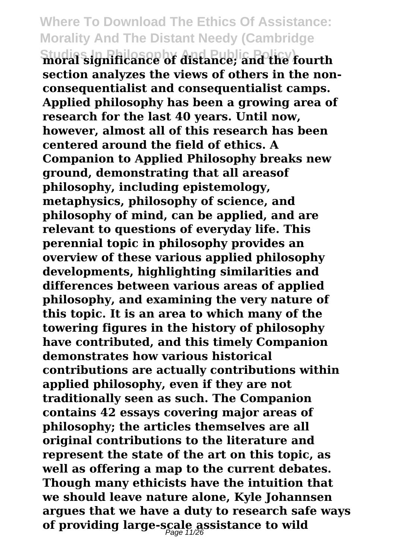**Studies In Philosophy And Public Policy) moral significance of distance; and the fourth section analyzes the views of others in the nonconsequentialist and consequentialist camps. Applied philosophy has been a growing area of research for the last 40 years. Until now, however, almost all of this research has been centered around the field of ethics. A Companion to Applied Philosophy breaks new ground, demonstrating that all areasof philosophy, including epistemology, metaphysics, philosophy of science, and philosophy of mind, can be applied, and are relevant to questions of everyday life. This perennial topic in philosophy provides an overview of these various applied philosophy developments, highlighting similarities and differences between various areas of applied philosophy, and examining the very nature of this topic. It is an area to which many of the towering figures in the history of philosophy have contributed, and this timely Companion demonstrates how various historical contributions are actually contributions within applied philosophy, even if they are not traditionally seen as such. The Companion contains 42 essays covering major areas of philosophy; the articles themselves are all original contributions to the literature and represent the state of the art on this topic, as well as offering a map to the current debates. Though many ethicists have the intuition that we should leave nature alone, Kyle Johannsen argues that we have a duty to research safe ways of providing large-scale assistance to wild** Page 11/26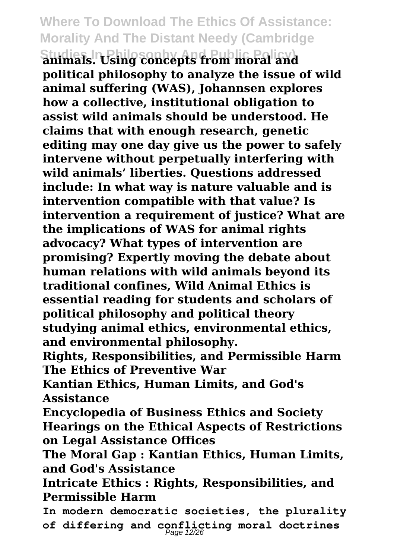**Studies In Philosophy And Public Policy) animals. Using concepts from moral and political philosophy to analyze the issue of wild animal suffering (WAS), Johannsen explores how a collective, institutional obligation to assist wild animals should be understood. He claims that with enough research, genetic editing may one day give us the power to safely intervene without perpetually interfering with wild animals' liberties. Questions addressed include: In what way is nature valuable and is intervention compatible with that value? Is intervention a requirement of justice? What are the implications of WAS for animal rights advocacy? What types of intervention are promising? Expertly moving the debate about human relations with wild animals beyond its traditional confines, Wild Animal Ethics is essential reading for students and scholars of political philosophy and political theory studying animal ethics, environmental ethics, and environmental philosophy.**

**Rights, Responsibilities, and Permissible Harm The Ethics of Preventive War**

**Kantian Ethics, Human Limits, and God's Assistance**

**Encyclopedia of Business Ethics and Society Hearings on the Ethical Aspects of Restrictions on Legal Assistance Offices**

**The Moral Gap : Kantian Ethics, Human Limits, and God's Assistance**

**Intricate Ethics : Rights, Responsibilities, and Permissible Harm**

**In modern democratic societies, the plurality of differing and conflicting moral doctrines** Page 12/26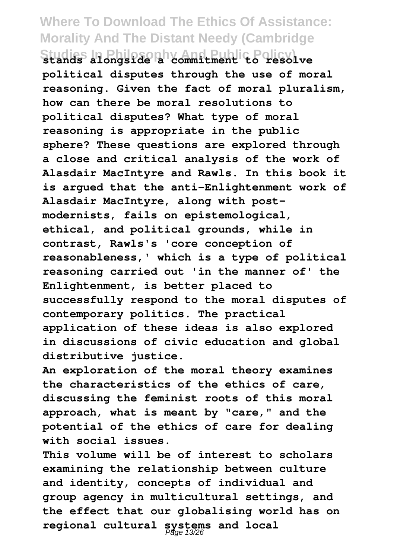#### **Where To Download The Ethics Of Assistance: Morality And The Distant Needy (Cambridge Studies In Philosophy And Public Policy) stands alongside a commitment to resolve**

**political disputes through the use of moral reasoning. Given the fact of moral pluralism, how can there be moral resolutions to political disputes? What type of moral reasoning is appropriate in the public sphere? These questions are explored through a close and critical analysis of the work of Alasdair MacIntyre and Rawls. In this book it is argued that the anti-Enlightenment work of Alasdair MacIntyre, along with postmodernists, fails on epistemological, ethical, and political grounds, while in contrast, Rawls's 'core conception of reasonableness,' which is a type of political reasoning carried out 'in the manner of' the Enlightenment, is better placed to successfully respond to the moral disputes of contemporary politics. The practical application of these ideas is also explored in discussions of civic education and global distributive justice.**

**An exploration of the moral theory examines the characteristics of the ethics of care, discussing the feminist roots of this moral approach, what is meant by "care," and the potential of the ethics of care for dealing with social issues.**

**This volume will be of interest to scholars examining the relationship between culture and identity, concepts of individual and group agency in multicultural settings, and the effect that our globalising world has on regional cultural systems and local** Page 13/26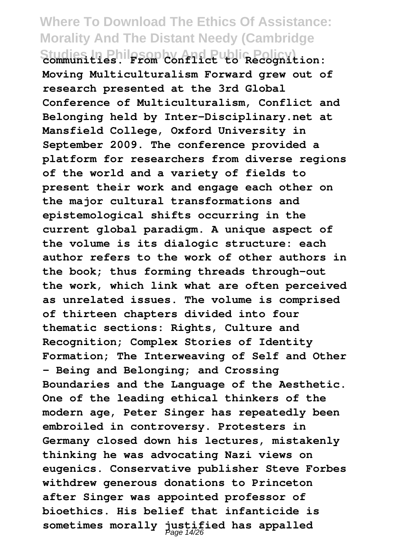#### **Where To Download The Ethics Of Assistance: Morality And The Distant Needy (Cambridge Studies In Philosophy And Public Policy) communities. From Conflict to Recognition:**

**Moving Multiculturalism Forward grew out of research presented at the 3rd Global Conference of Multiculturalism, Conflict and Belonging held by Inter-Disciplinary.net at Mansfield College, Oxford University in September 2009. The conference provided a platform for researchers from diverse regions of the world and a variety of fields to present their work and engage each other on the major cultural transformations and epistemological shifts occurring in the current global paradigm. A unique aspect of the volume is its dialogic structure: each author refers to the work of other authors in the book; thus forming threads through-out the work, which link what are often perceived as unrelated issues. The volume is comprised of thirteen chapters divided into four thematic sections: Rights, Culture and Recognition; Complex Stories of Identity Formation; The Interweaving of Self and Other – Being and Belonging; and Crossing Boundaries and the Language of the Aesthetic. One of the leading ethical thinkers of the modern age, Peter Singer has repeatedly been embroiled in controversy. Protesters in Germany closed down his lectures, mistakenly thinking he was advocating Nazi views on eugenics. Conservative publisher Steve Forbes withdrew generous donations to Princeton after Singer was appointed professor of bioethics. His belief that infanticide is** sometimes morally justified has appalled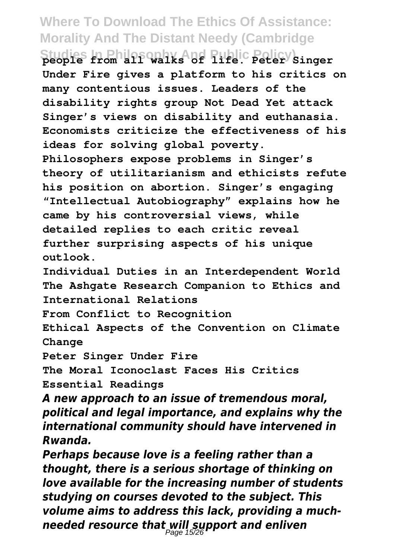**Studies In Philosophy And Public Policy) people from all walks of life. Peter Singer Under Fire gives a platform to his critics on many contentious issues. Leaders of the disability rights group Not Dead Yet attack Singer's views on disability and euthanasia. Economists criticize the effectiveness of his ideas for solving global poverty. Philosophers expose problems in Singer's theory of utilitarianism and ethicists refute his position on abortion. Singer's engaging "Intellectual Autobiography" explains how he came by his controversial views, while detailed replies to each critic reveal further surprising aspects of his unique outlook.**

**Individual Duties in an Interdependent World The Ashgate Research Companion to Ethics and International Relations**

**From Conflict to Recognition**

**Ethical Aspects of the Convention on Climate Change**

**Peter Singer Under Fire**

**The Moral Iconoclast Faces His Critics Essential Readings**

*A new approach to an issue of tremendous moral, political and legal importance, and explains why the international community should have intervened in Rwanda.*

*Perhaps because love is a feeling rather than a thought, there is a serious shortage of thinking on love available for the increasing number of students studying on courses devoted to the subject. This volume aims to address this lack, providing a muchneeded resource that will support and enliven* Page 15/26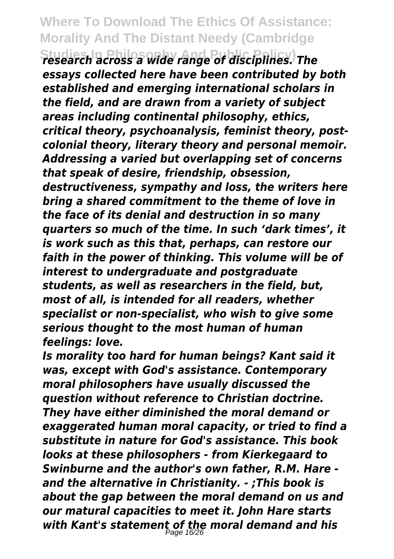**Studies In Philosophy And Public Policy)** *research across a wide range of disciplines. The essays collected here have been contributed by both established and emerging international scholars in the field, and are drawn from a variety of subject areas including continental philosophy, ethics, critical theory, psychoanalysis, feminist theory, postcolonial theory, literary theory and personal memoir. Addressing a varied but overlapping set of concerns that speak of desire, friendship, obsession, destructiveness, sympathy and loss, the writers here bring a shared commitment to the theme of love in the face of its denial and destruction in so many quarters so much of the time. In such 'dark times', it is work such as this that, perhaps, can restore our faith in the power of thinking. This volume will be of interest to undergraduate and postgraduate students, as well as researchers in the field, but, most of all, is intended for all readers, whether specialist or non-specialist, who wish to give some serious thought to the most human of human feelings: love.*

*Is morality too hard for human beings? Kant said it was, except with God's assistance. Contemporary moral philosophers have usually discussed the question without reference to Christian doctrine. They have either diminished the moral demand or exaggerated human moral capacity, or tried to find a substitute in nature for God's assistance. This book looks at these philosophers - from Kierkegaard to Swinburne and the author's own father, R.M. Hare and the alternative in Christianity. - ;This book is about the gap between the moral demand on us and our matural capacities to meet it. John Hare starts with Kant's statement of the moral demand and his* Page 16/26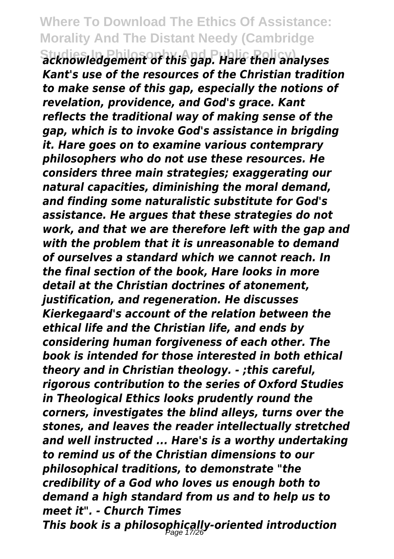**Studies In Philosophy And Public Policy)** *acknowledgement of this gap. Hare then analyses Kant's use of the resources of the Christian tradition to make sense of this gap, especially the notions of revelation, providence, and God's grace. Kant reflects the traditional way of making sense of the gap, which is to invoke God's assistance in brigding it. Hare goes on to examine various contemprary philosophers who do not use these resources. He considers three main strategies; exaggerating our natural capacities, diminishing the moral demand, and finding some naturalistic substitute for God's assistance. He argues that these strategies do not work, and that we are therefore left with the gap and with the problem that it is unreasonable to demand of ourselves a standard which we cannot reach. In the final section of the book, Hare looks in more detail at the Christian doctrines of atonement, justification, and regeneration. He discusses Kierkegaard's account of the relation between the ethical life and the Christian life, and ends by considering human forgiveness of each other. The book is intended for those interested in both ethical theory and in Christian theology. - ;this careful, rigorous contribution to the series of Oxford Studies in Theological Ethics looks prudently round the corners, investigates the blind alleys, turns over the stones, and leaves the reader intellectually stretched and well instructed ... Hare's is a worthy undertaking to remind us of the Christian dimensions to our philosophical traditions, to demonstrate "the credibility of a God who loves us enough both to demand a high standard from us and to help us to meet it". - Church Times This book is a philosophically-oriented introduction* Page 17/26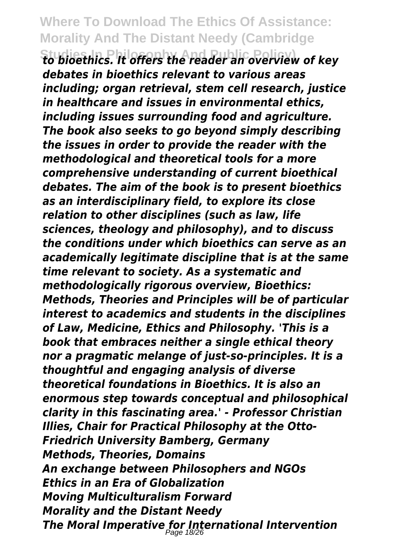**Studies In Philosophy And Public Policy)** *to bioethics. It offers the reader an overview of key debates in bioethics relevant to various areas including; organ retrieval, stem cell research, justice in healthcare and issues in environmental ethics, including issues surrounding food and agriculture. The book also seeks to go beyond simply describing the issues in order to provide the reader with the methodological and theoretical tools for a more comprehensive understanding of current bioethical debates. The aim of the book is to present bioethics as an interdisciplinary field, to explore its close relation to other disciplines (such as law, life sciences, theology and philosophy), and to discuss the conditions under which bioethics can serve as an academically legitimate discipline that is at the same time relevant to society. As a systematic and methodologically rigorous overview, Bioethics: Methods, Theories and Principles will be of particular interest to academics and students in the disciplines of Law, Medicine, Ethics and Philosophy. 'This is a book that embraces neither a single ethical theory nor a pragmatic melange of just-so-principles. It is a thoughtful and engaging analysis of diverse theoretical foundations in Bioethics. It is also an enormous step towards conceptual and philosophical clarity in this fascinating area.' - Professor Christian Illies, Chair for Practical Philosophy at the Otto-Friedrich University Bamberg, Germany Methods, Theories, Domains An exchange between Philosophers and NGOs Ethics in an Era of Globalization Moving Multiculturalism Forward Morality and the Distant Needy The Moral Imperative for International Intervention* Page 18/26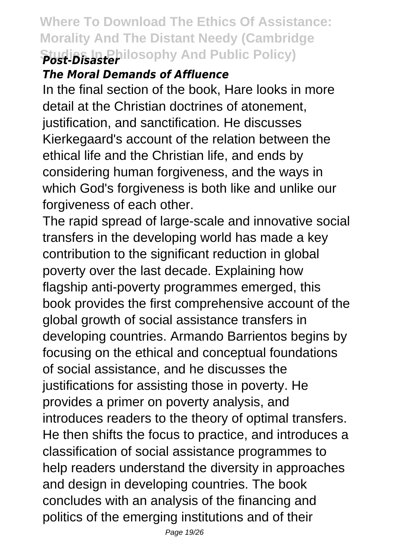#### **Where To Download The Ethics Of Assistance: Morality And The Distant Needy (Cambridge Studies In Philosophy And Public Policy)** *Post-Disaster*

#### *The Moral Demands of Affluence*

In the final section of the book, Hare looks in more detail at the Christian doctrines of atonement, justification, and sanctification. He discusses Kierkegaard's account of the relation between the ethical life and the Christian life, and ends by considering human forgiveness, and the ways in which God's forgiveness is both like and unlike our forgiveness of each other.

The rapid spread of large-scale and innovative social transfers in the developing world has made a key contribution to the significant reduction in global poverty over the last decade. Explaining how flagship anti-poverty programmes emerged, this book provides the first comprehensive account of the global growth of social assistance transfers in developing countries. Armando Barrientos begins by focusing on the ethical and conceptual foundations of social assistance, and he discusses the justifications for assisting those in poverty. He provides a primer on poverty analysis, and introduces readers to the theory of optimal transfers. He then shifts the focus to practice, and introduces a classification of social assistance programmes to help readers understand the diversity in approaches and design in developing countries. The book concludes with an analysis of the financing and politics of the emerging institutions and of their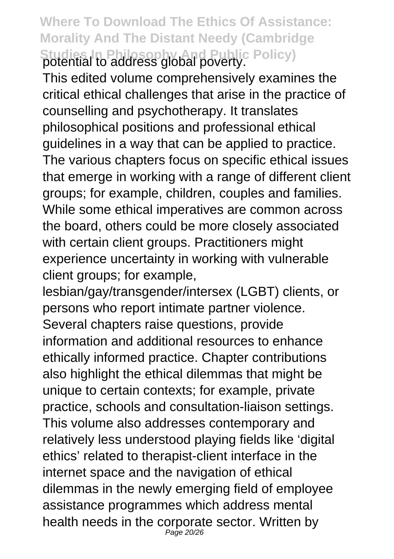**Where To Download The Ethics Of Assistance: Morality And The Distant Needy (Cambridge Studies In Philosophy And Public Policy)** potential to address global poverty.

This edited volume comprehensively examines the critical ethical challenges that arise in the practice of counselling and psychotherapy. It translates philosophical positions and professional ethical guidelines in a way that can be applied to practice. The various chapters focus on specific ethical issues that emerge in working with a range of different client groups; for example, children, couples and families. While some ethical imperatives are common across the board, others could be more closely associated with certain client groups. Practitioners might experience uncertainty in working with vulnerable client groups; for example,

lesbian/gay/transgender/intersex (LGBT) clients, or persons who report intimate partner violence. Several chapters raise questions, provide information and additional resources to enhance ethically informed practice. Chapter contributions also highlight the ethical dilemmas that might be unique to certain contexts; for example, private practice, schools and consultation-liaison settings. This volume also addresses contemporary and relatively less understood playing fields like 'digital ethics' related to therapist-client interface in the internet space and the navigation of ethical dilemmas in the newly emerging field of employee assistance programmes which address mental health needs in the corporate sector. Written by Page 20/26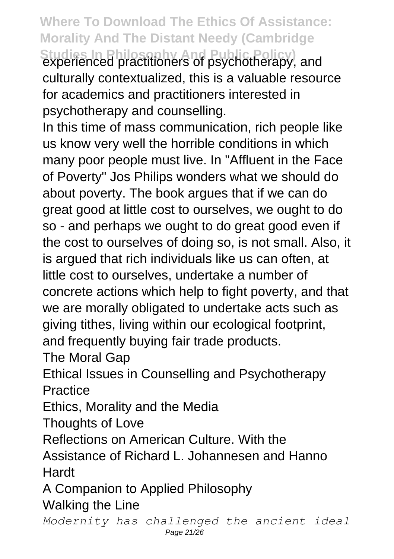**Where To Download The Ethics Of Assistance: Morality And The Distant Needy (Cambridge Studies In Philosophy And Public Policy)** experienced practitioners of psychotherapy, and culturally contextualized, this is a valuable resource for academics and practitioners interested in

psychotherapy and counselling.

In this time of mass communication, rich people like us know very well the horrible conditions in which many poor people must live. In "Affluent in the Face of Poverty" Jos Philips wonders what we should do about poverty. The book argues that if we can do great good at little cost to ourselves, we ought to do so - and perhaps we ought to do great good even if the cost to ourselves of doing so, is not small. Also, it is argued that rich individuals like us can often, at little cost to ourselves, undertake a number of concrete actions which help to fight poverty, and that we are morally obligated to undertake acts such as giving tithes, living within our ecological footprint, and frequently buying fair trade products.

The Moral Gap

Ethical Issues in Counselling and Psychotherapy **Practice** 

Ethics, Morality and the Media

Thoughts of Love

Reflections on American Culture. With the

Assistance of Richard L. Johannesen and Hanno Hardt

A Companion to Applied Philosophy Walking the Line

*Modernity has challenged the ancient ideal* Page 21/26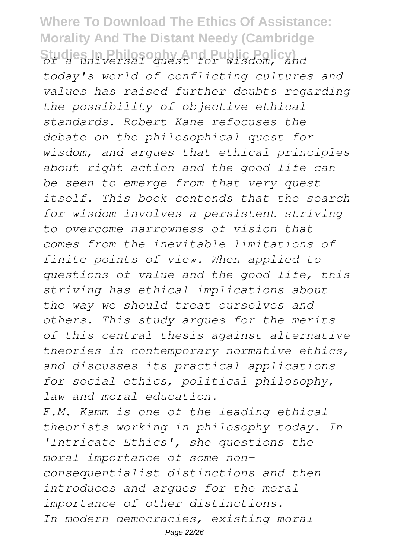### **Where To Download The Ethics Of Assistance: Morality And The Distant Needy (Cambridge Studies In Philosophy And Public Policy)** *of a universal quest for wisdom, and*

*today's world of conflicting cultures and values has raised further doubts regarding the possibility of objective ethical standards. Robert Kane refocuses the debate on the philosophical quest for wisdom, and argues that ethical principles about right action and the good life can be seen to emerge from that very quest itself. This book contends that the search for wisdom involves a persistent striving to overcome narrowness of vision that comes from the inevitable limitations of finite points of view. When applied to questions of value and the good life, this striving has ethical implications about the way we should treat ourselves and others. This study argues for the merits of this central thesis against alternative theories in contemporary normative ethics, and discusses its practical applications for social ethics, political philosophy, law and moral education.*

*F.M. Kamm is one of the leading ethical theorists working in philosophy today. In 'Intricate Ethics', she questions the moral importance of some nonconsequentialist distinctions and then introduces and argues for the moral importance of other distinctions. In modern democracies, existing moral* Page 22/26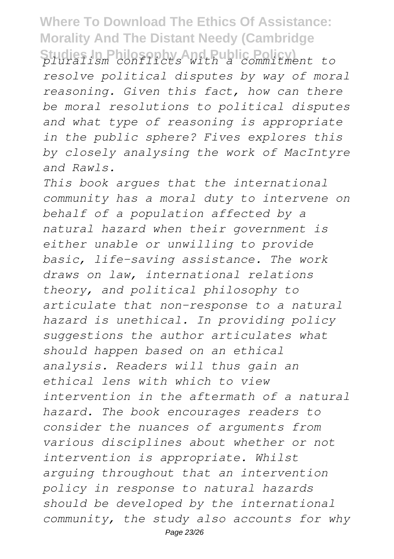**Studies In Philosophy And Public Policy)** *pluralism conflicts with a commitment to resolve political disputes by way of moral reasoning. Given this fact, how can there be moral resolutions to political disputes and what type of reasoning is appropriate in the public sphere? Fives explores this by closely analysing the work of MacIntyre and Rawls.*

*This book argues that the international community has a moral duty to intervene on behalf of a population affected by a natural hazard when their government is either unable or unwilling to provide basic, life-saving assistance. The work draws on law, international relations theory, and political philosophy to articulate that non-response to a natural hazard is unethical. In providing policy suggestions the author articulates what should happen based on an ethical analysis. Readers will thus gain an ethical lens with which to view intervention in the aftermath of a natural hazard. The book encourages readers to consider the nuances of arguments from various disciplines about whether or not intervention is appropriate. Whilst arguing throughout that an intervention policy in response to natural hazards should be developed by the international community, the study also accounts for why* Page 23/26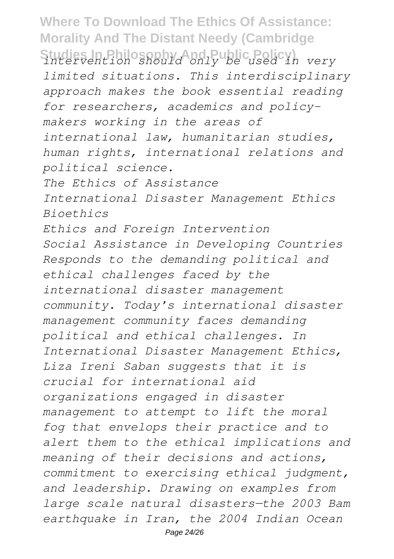**Studies In Philosophy And Public Policy)** *intervention should only be used in very limited situations. This interdisciplinary approach makes the book essential reading for researchers, academics and policymakers working in the areas of international law, humanitarian studies, human rights, international relations and political science. The Ethics of Assistance International Disaster Management Ethics Bioethics Ethics and Foreign Intervention Social Assistance in Developing Countries Responds to the demanding political and ethical challenges faced by the international disaster management community. Today's international disaster management community faces demanding political and ethical challenges. In International Disaster Management Ethics, Liza Ireni Saban suggests that it is crucial for international aid organizations engaged in disaster management to attempt to lift the moral fog that envelops their practice and to alert them to the ethical implications and meaning of their decisions and actions, commitment to exercising ethical judgment, and leadership. Drawing on examples from large scale natural disasters—the 2003 Bam earthquake in Iran, the 2004 Indian Ocean*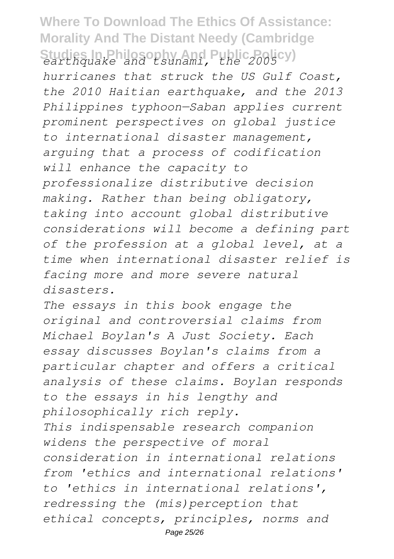### **Where To Download The Ethics Of Assistance: Morality And The Distant Needy (Cambridge Studies In Philosophy And Public Policy)** *earthquake and tsunami, the 2005*

*hurricanes that struck the US Gulf Coast, the 2010 Haitian earthquake, and the 2013 Philippines typhoon—Saban applies current prominent perspectives on global justice to international disaster management, arguing that a process of codification will enhance the capacity to professionalize distributive decision making. Rather than being obligatory, taking into account global distributive considerations will become a defining part of the profession at a global level, at a time when international disaster relief is facing more and more severe natural disasters.*

*The essays in this book engage the original and controversial claims from Michael Boylan's A Just Society. Each essay discusses Boylan's claims from a particular chapter and offers a critical analysis of these claims. Boylan responds to the essays in his lengthy and philosophically rich reply. This indispensable research companion widens the perspective of moral consideration in international relations from 'ethics and international relations' to 'ethics in international relations', redressing the (mis)perception that ethical concepts, principles, norms and* Page 25/26